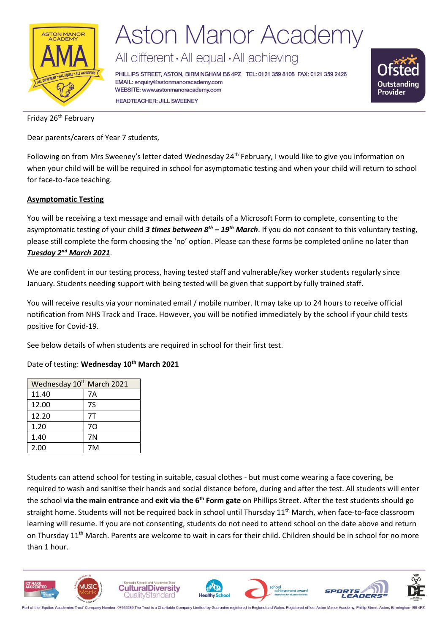

## **Aston Manor Academy**

All different · All equal · All achieving

PHILLIPS STREET, ASTON, BIRMINGHAM B6 4PZ TEL: 0121 359 8108 FAX: 0121 359 2426 EMAIL: enquiry@astonmanoracademy.com WEBSITE: www.astonmanoracademy.com **HEADTEACHER: JILL SWEENEY** 



Friday 26<sup>th</sup> February

Dear parents/carers of Year 7 students,

Following on from Mrs Sweeney's letter dated Wednesday 24<sup>th</sup> February, I would like to give you information on when your child will be will be required in school for asymptomatic testing and when your child will return to school for face-to-face teaching.

### **Asymptomatic Testing**

You will be receiving a text message and email with details of a Microsoft Form to complete, consenting to the asymptomatic testing of your child *3 times between 8th – 19th March*. If you do not consent to this voluntary testing, please still complete the form choosing the 'no' option. Please can these forms be completed online no later than *Tuesday 2nd March 2021*.

We are confident in our testing process, having tested staff and vulnerable/key worker students regularly since January. Students needing support with being tested will be given that support by fully trained staff.

You will receive results via your nominated email / mobile number. It may take up to 24 hours to receive official notification from NHS Track and Trace. However, you will be notified immediately by the school if your child tests positive for Covid-19.

See below details of when students are required in school for their first test.

Date of testing: **Wednesday 10th March 2021**

| Wednesday 10 <sup>th</sup> March 2021 |    |  |  |
|---------------------------------------|----|--|--|
| 11.40                                 | 7Α |  |  |
| 12.00                                 | 7S |  |  |
| 12.20                                 | 7T |  |  |
| 1.20                                  | 70 |  |  |
| 1.40                                  | 7N |  |  |
| 2.00                                  | 7M |  |  |

Students can attend school for testing in suitable, casual clothes - but must come wearing a face covering, be required to wash and sanitise their hands and social distance before, during and after the test. All students will enter the school **via the main entrance** and **exit via the 6th Form gate** on Phillips Street. After the test students should go straight home. Students will not be required back in school until Thursday 11<sup>th</sup> March, when face-to-face classroom learning will resume. If you are not consenting, students do not need to attend school on the date above and return on Thursday  $11<sup>th</sup>$  March. Parents are welcome to wait in cars for their child. Children should be in school for no more than 1 hour.